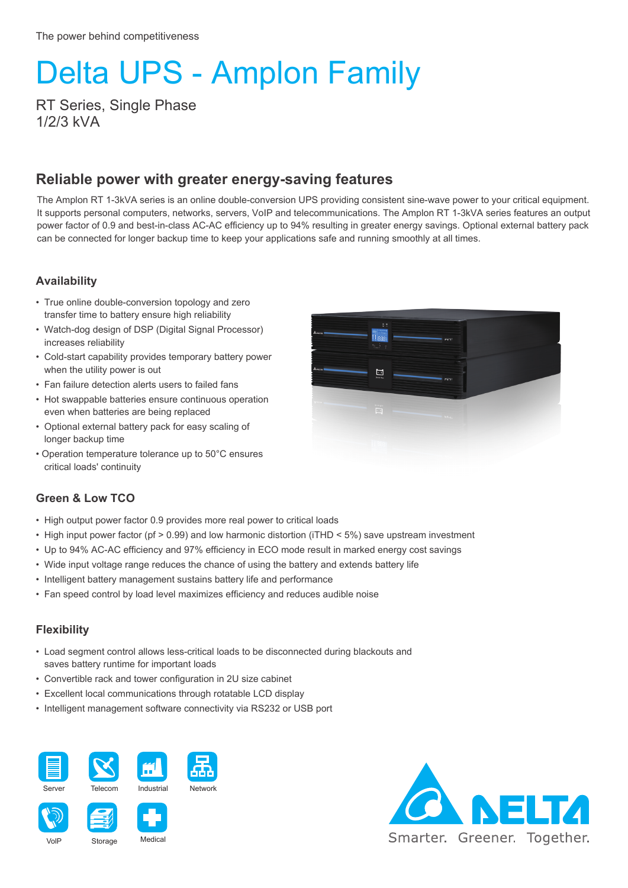# Delta UPS - Amplon Family

RT Series, Single Phase 1/2/3 kVA

### **Reliable power with greater energy-saving features**

The Amplon RT 1-3kVA series is an online double-conversion UPS providing consistent sine-wave power to your critical equipment. It supports personal computers, networks, servers, VoIP and telecommunications. The Amplon RT 1-3kVA series features an output power factor of 0.9 and best-in-class AC-AC efficiency up to 94% resulting in greater energy savings. Optional external battery pack can be connected for longer backup time to keep your applications safe and running smoothly at all times.

#### **Availability**

- True online double-conversion topology and zero transfer time to battery ensure high reliability
- Watch-dog design of DSP (Digital Signal Processor) increases reliability
- Cold-start capability provides temporary battery power when the utility power is out
- Fan failure detection alerts users to failed fans
- Hot swappable batteries ensure continuous operation even when batteries are being replaced
- Optional external battery pack for easy scaling of longer backup time
- Operation temperature tolerance up to 50°C ensures critical loads' continuity



#### **Green & Low TCO**

- High output power factor 0.9 provides more real power to critical loads
- High input power factor (pf > 0.99) and low harmonic distortion (iTHD < 5%) save upstream investment
- Up to 94% AC-AC efficiency and 97% efficiency in ECO mode result in marked energy cost savings
- Wide input voltage range reduces the chance of using the battery and extends battery life
- Intelligent battery management sustains battery life and performance
- Fan speed control by load level maximizes efficiency and reduces audible noise

#### **Flexibility**

- Load segment control allows less-critical loads to be disconnected during blackouts and saves battery runtime for important loads
- Convertible rack and tower configuration in 2U size cabinet
- Excellent local communications through rotatable LCD display
- Intelligent management software connectivity via RS232 or USB port









Storage